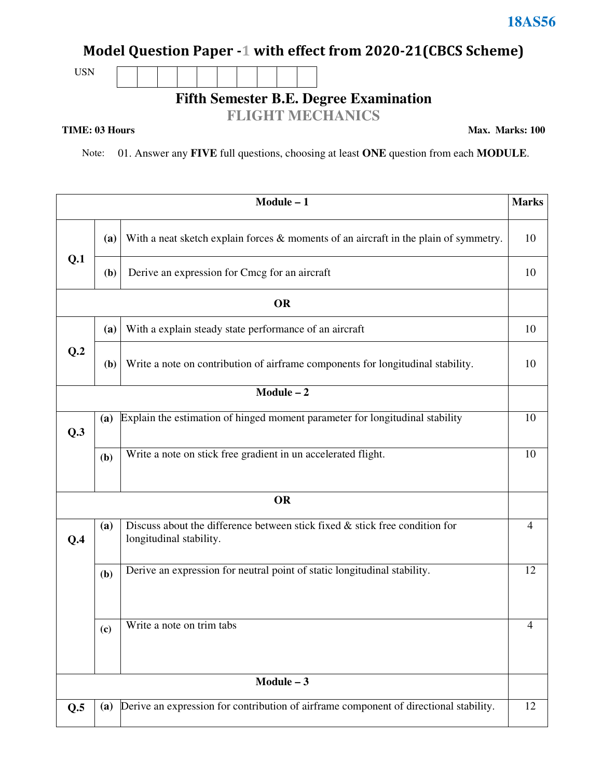## **Model Question Paper -1 with effect from 2020-21(CBCS Scheme)**

USN

**Fifth Semester B.E. Degree Examination** 

### **FLIGHT MECHANICS**

#### **TIME: 03 Hours**

**Max. Marks: 100**

Note: 01. Answer any **FIVE** full questions, choosing at least **ONE** question from each **MODULE**.

|     |     | $Module - 1$                                                                                              | <b>Marks</b> |
|-----|-----|-----------------------------------------------------------------------------------------------------------|--------------|
|     | (a) | With a neat sketch explain forces $\&$ moments of an aircraft in the plain of symmetry.                   | 10           |
| Q.1 | (b) | Derive an expression for Cmcg for an aircraft                                                             | 10           |
|     |     | <b>OR</b>                                                                                                 |              |
|     | (a) | With a explain steady state performance of an aircraft                                                    | 10           |
| Q.2 | (b) | Write a note on contribution of airframe components for longitudinal stability.                           | 10           |
|     |     | $Module - 2$                                                                                              |              |
| Q.3 | (a) | Explain the estimation of hinged moment parameter for longitudinal stability                              | 10           |
|     | (b) | Write a note on stick free gradient in un accelerated flight.                                             | 10           |
|     |     | <b>OR</b>                                                                                                 |              |
| Q.4 | (a) | Discuss about the difference between stick fixed $\&$ stick free condition for<br>longitudinal stability. | 4            |
|     | (b) | Derive an expression for neutral point of static longitudinal stability.                                  | 12           |
|     | (c) | Write a note on trim tabs                                                                                 | 4            |
|     |     | $Module - 3$                                                                                              |              |
| Q.5 | (a) | Derive an expression for contribution of airframe component of directional stability.                     | 12           |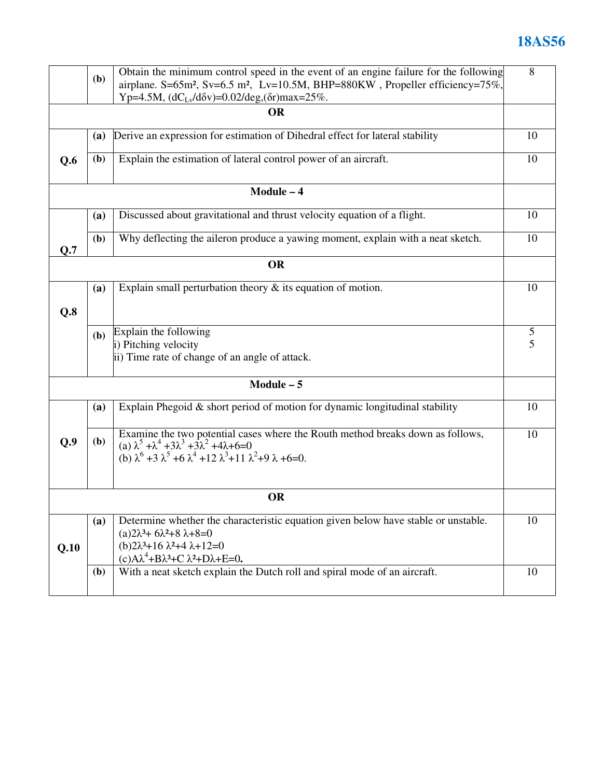# **18AS56**

|      | (b)          | Obtain the minimum control speed in the event of an engine failure for the following                                                                       | 8  |
|------|--------------|------------------------------------------------------------------------------------------------------------------------------------------------------------|----|
|      |              | airplane. S=65m <sup>2</sup> , Sv=6.5 m <sup>2</sup> , Lv=10.5M, BHP=880KW, Propeller efficiency=75%,                                                      |    |
|      |              | Yp=4.5M, $(dC_{Lv}/d\delta v) = 0.02/deg$ , $(\delta r)$ max=25%.                                                                                          |    |
|      |              | <b>OR</b>                                                                                                                                                  |    |
|      | (a)          | Derive an expression for estimation of Dihedral effect for lateral stability                                                                               | 10 |
| Q.6  | ( <b>b</b> ) | Explain the estimation of lateral control power of an aircraft.                                                                                            | 10 |
|      |              | Module - 4                                                                                                                                                 |    |
|      | (a)          | Discussed about gravitational and thrust velocity equation of a flight.                                                                                    | 10 |
| Q.7  | (b)          | Why deflecting the aileron produce a yawing moment, explain with a neat sketch.                                                                            | 10 |
|      |              | <b>OR</b>                                                                                                                                                  |    |
|      | (a)          | Explain small perturbation theory $\&$ its equation of motion.                                                                                             | 10 |
|      |              |                                                                                                                                                            |    |
| Q.8  |              |                                                                                                                                                            |    |
|      | (b)          | Explain the following                                                                                                                                      | 5  |
|      |              | i) Pitching velocity                                                                                                                                       | 5  |
|      |              | ii) Time rate of change of an angle of attack.                                                                                                             |    |
|      |              | $Module - 5$                                                                                                                                               |    |
|      | (a)          | Explain Phegoid $\&$ short period of motion for dynamic longitudinal stability                                                                             | 10 |
|      |              |                                                                                                                                                            |    |
| Q.9  | ( <b>b</b> ) | Examine the two potential cases where the Routh method breaks down as follows,<br>(a) $\lambda^5 + \lambda^4 + 3\lambda^3 + 3\lambda^2 + 4\lambda + 6 = 0$ | 10 |
|      |              | (b) $\lambda^6$ +3 $\lambda^5$ +6 $\lambda^4$ +12 $\lambda^3$ +11 $\lambda^2$ +9 $\lambda$ +6=0.                                                           |    |
|      |              |                                                                                                                                                            |    |
|      |              | <b>OR</b>                                                                                                                                                  |    |
|      | (a)          | Determine whether the characteristic equation given below have stable or unstable.                                                                         | 10 |
|      |              | $(a)2\lambda^3 + 6\lambda^2 + 8\lambda + 8 = 0$                                                                                                            |    |
| Q.10 |              | $(b)2\lambda^3+16\lambda^2+4\lambda+12=0$<br>$(c)A\lambda^4+B\lambda^3+C\lambda^2+D\lambda+E=0.$                                                           |    |
|      | (b)          | With a neat sketch explain the Dutch roll and spiral mode of an aircraft.                                                                                  | 10 |
|      |              |                                                                                                                                                            |    |
|      |              |                                                                                                                                                            |    |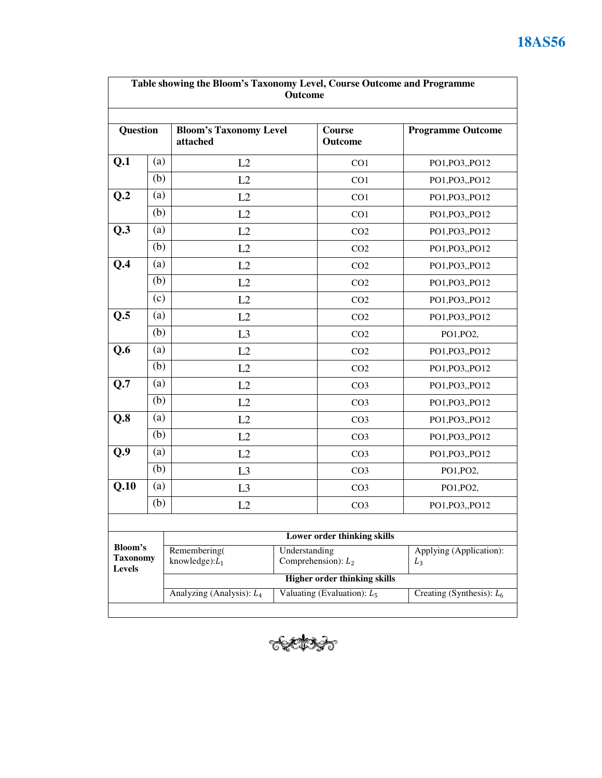| Table showing the Bloom's Taxonomy Level, Course Outcome and Programme<br>Outcome |     |                                           |               |                               |                             |
|-----------------------------------------------------------------------------------|-----|-------------------------------------------|---------------|-------------------------------|-----------------------------|
| Question                                                                          |     | <b>Bloom's Taxonomy Level</b><br>attached |               | Course<br><b>Outcome</b>      | <b>Programme Outcome</b>    |
| Q.1                                                                               | (a) | L2                                        |               | CO <sub>1</sub>               | PO1, PO3, PO12              |
|                                                                                   | (b) | L2                                        |               | CO <sub>1</sub>               | PO1, PO3, PO12              |
| Q.2                                                                               | (a) | L2                                        |               | CO <sub>1</sub>               | PO1, PO3, PO12              |
|                                                                                   | (b) | L2                                        |               | CO1                           | PO1, PO3, PO12              |
| $Q.\overline{3}$                                                                  | (a) | L2                                        |               | CO <sub>2</sub>               | PO1, PO3, PO12              |
|                                                                                   | (b) | L2                                        |               | CO <sub>2</sub>               | PO1, PO3, PO12              |
| Q.4                                                                               | (a) | L2                                        |               | CO <sub>2</sub>               | PO1, PO3, PO12              |
|                                                                                   | (b) | L2                                        |               | CO <sub>2</sub>               | PO1, PO3, PO12              |
|                                                                                   | (c) | L2                                        |               | CO <sub>2</sub>               | PO1, PO3, PO12              |
| Q.5                                                                               | (a) | L2                                        |               |                               | PO1, PO3, PO12              |
|                                                                                   | (b) | L3                                        |               | CO <sub>2</sub>               | PO1, PO2,                   |
| Q.6                                                                               | (a) | L2                                        |               | CO <sub>2</sub>               | PO1, PO3, PO12              |
|                                                                                   | (b) | L2                                        |               | CO <sub>2</sub>               | PO1, PO3, PO12              |
| Q.7                                                                               | (a) | L2                                        |               | CO <sub>3</sub>               | PO1, PO3, PO12              |
|                                                                                   | (b) | L2                                        |               | CO <sub>3</sub>               | PO1, PO3, PO12              |
| Q.8                                                                               | (a) | L2                                        |               | CO <sub>3</sub>               | PO1, PO3, PO12              |
|                                                                                   | (b) | L2                                        |               | CO <sub>3</sub>               | PO1, PO3, PO12              |
| Q.9                                                                               | (a) | L2                                        |               | CO <sub>3</sub>               | PO1, PO3, PO12              |
|                                                                                   | (b) | L3                                        |               | CO <sub>3</sub>               | PO1, PO2,                   |
| Q.10                                                                              | (a) | L <sub>3</sub>                            |               | CO <sub>3</sub>               | PO1, PO2,                   |
|                                                                                   | (b) | L2                                        |               | CO <sub>3</sub>               | PO1, PO3, PO12              |
| Bloom's                                                                           |     | Remembering(                              | Understanding | Lower order thinking skills   | Applying (Application):     |
| <b>Taxonomy</b><br>Levels                                                         |     | knowledge): $L_1$                         |               | Comprehension): $L_2$         | $L_3$                       |
|                                                                                   |     | <b>Higher order thinking skills</b>       |               |                               |                             |
|                                                                                   |     | Analyzing (Analysis): $L_4$               |               | Valuating (Evaluation): $L_5$ | Creating (Synthesis): $L_6$ |

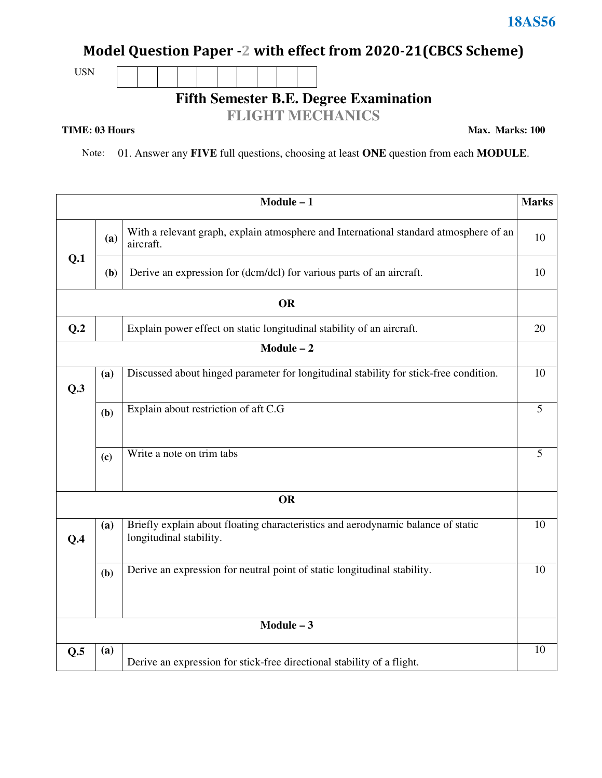## **Model Question Paper -2 with effect from 2020-21(CBCS Scheme)**

USN

**Fifth Semester B.E. Degree Examination** 

#### **FLIGHT MECHANICS**

**TIME: 03 Hours** 

**Max. Marks: 100**

Note: 01. Answer any **FIVE** full questions, choosing at least **ONE** question from each **MODULE**.

|     |     | $Module - 1$                                                                                                | <b>Marks</b> |
|-----|-----|-------------------------------------------------------------------------------------------------------------|--------------|
|     | (a) | With a relevant graph, explain atmosphere and International standard atmosphere of an<br>aircraft.          | 10           |
| Q.1 | (b) | Derive an expression for (dcm/dcl) for various parts of an aircraft.                                        | 10           |
|     |     | <b>OR</b>                                                                                                   |              |
| Q.2 |     | Explain power effect on static longitudinal stability of an aircraft.                                       | 20           |
|     |     | $Module - 2$                                                                                                |              |
| Q.3 | (a) | Discussed about hinged parameter for longitudinal stability for stick-free condition.                       | 10           |
|     | (b) | Explain about restriction of aft C.G                                                                        | 5            |
|     | (c) | Write a note on trim tabs                                                                                   | 5            |
|     |     | <b>OR</b>                                                                                                   |              |
| Q.4 | (a) | Briefly explain about floating characteristics and aerodynamic balance of static<br>longitudinal stability. | 10           |
|     | (b) | Derive an expression for neutral point of static longitudinal stability.                                    | 10           |
|     |     | $Module - 3$                                                                                                |              |
| Q.5 | (a) | Derive an expression for stick-free directional stability of a flight.                                      | 10           |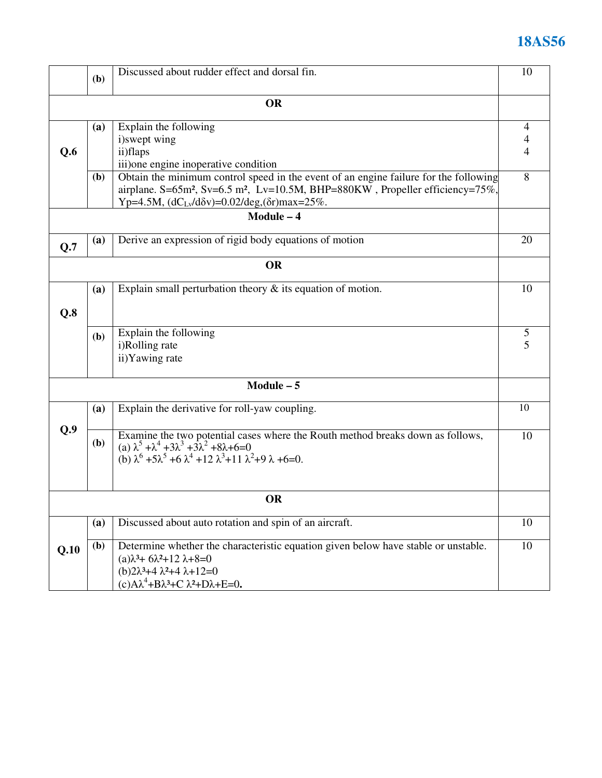# **18AS56**

|      | (b)          | Discussed about rudder effect and dorsal fin.                                                                                                                                                                                                                      | 10                       |
|------|--------------|--------------------------------------------------------------------------------------------------------------------------------------------------------------------------------------------------------------------------------------------------------------------|--------------------------|
|      |              | <b>OR</b>                                                                                                                                                                                                                                                          |                          |
| Q.6  | (a)          | Explain the following<br>i)swept wing<br>ii)flaps<br>iii) one engine inoperative condition                                                                                                                                                                         | $\overline{4}$<br>4<br>4 |
|      | (b)          | Obtain the minimum control speed in the event of an engine failure for the following<br>airplane. S=65m <sup>2</sup> , Sv=6.5 m <sup>2</sup> , Lv=10.5M, BHP=880KW, Propeller efficiency=75%,<br>Yp=4.5M, $(dC_{Lv}/d\delta v) = 0.02/deg$ , $(\delta r)$ max=25%. | 8                        |
|      |              | Module - 4                                                                                                                                                                                                                                                         |                          |
| Q.7  | (a)          | Derive an expression of rigid body equations of motion                                                                                                                                                                                                             | 20                       |
|      |              | <b>OR</b>                                                                                                                                                                                                                                                          |                          |
| Q.8  | (a)          | Explain small perturbation theory $\&$ its equation of motion.                                                                                                                                                                                                     | 10                       |
|      | (b)          | Explain the following<br>i)Rolling rate<br>ii) Yawing rate                                                                                                                                                                                                         | 5<br>5                   |
|      |              | $Module - 5$                                                                                                                                                                                                                                                       |                          |
|      | (a)          | Explain the derivative for roll-yaw coupling.                                                                                                                                                                                                                      | 10                       |
| Q.9  | ( <b>b</b> ) | Examine the two potential cases where the Routh method breaks down as follows,<br>(a) $\lambda^5 + \lambda^4 + 3\lambda^3 + 3\lambda^2 + 8\lambda + 6 = 0$<br>(b) $\lambda^6 + 5\lambda^5 + 6\lambda^4 + 12\lambda^3 + 11\lambda^2 + 9\lambda + 6 = 0$ .           | 10                       |
|      |              | <b>OR</b>                                                                                                                                                                                                                                                          |                          |
|      | (a)          | Discussed about auto rotation and spin of an aircraft.                                                                                                                                                                                                             | 10                       |
| Q.10 | (b)          | Determine whether the characteristic equation given below have stable or unstable.<br>$(a)\lambda^3 + 6\lambda^2 + 12\lambda + 8 = 0$<br>$(b)2\lambda^3 + 4\lambda^2 + 4\lambda + 12 = 0$<br>$(c)A\lambda^4+B\lambda^3+C\lambda^2+D\lambda+E=0.$                   | 10                       |